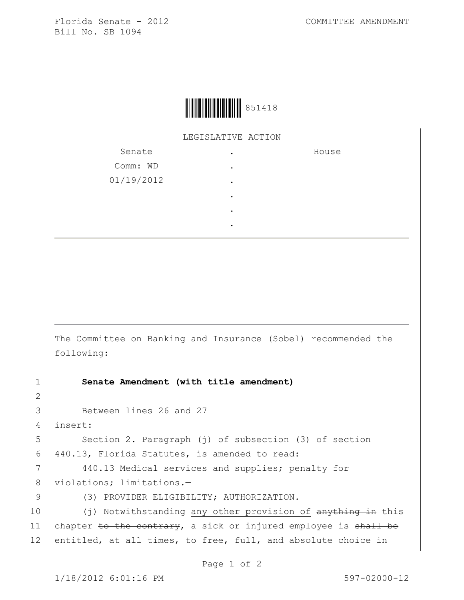Florida Senate - 2012 COMMITTEE AMENDMENT Bill No. SB 1094



LEGISLATIVE ACTION

| Senate     |   | House |
|------------|---|-------|
| Comm: WD   | ٠ |       |
| 01/19/2012 | ٠ |       |
|            | ٠ |       |
|            | ٠ |       |
|            | ٠ |       |

The Committee on Banking and Insurance (Sobel) recommended the following:

1 **Senate Amendment (with title amendment)**

3 Between lines 26 and 27

4 insert:

2

5 Section 2. Paragraph (j) of subsection (3) of section 6 440.13, Florida Statutes, is amended to read:

7 440.13 Medical services and supplies; penalty for 8 violations; limitations.-

9 (3) PROVIDER ELIGIBILITY; AUTHORIZATION.

10 (j) Notwithstanding any other provision of anything in this 11 chapter to the contrary, a sick or injured employee is shall be 12 entitled, at all times, to free, full, and absolute choice in